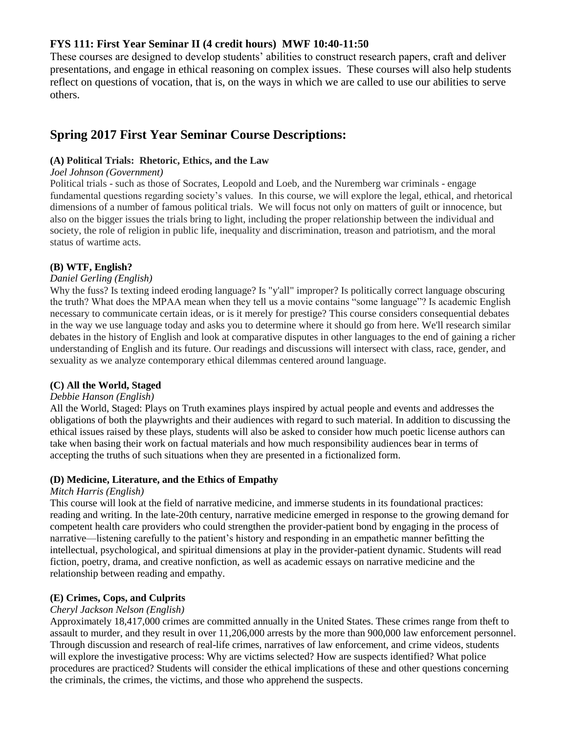# **FYS 111: First Year Seminar II (4 credit hours) MWF 10:40-11:50**

These courses are designed to develop students' abilities to construct research papers, craft and deliver presentations, and engage in ethical reasoning on complex issues. These courses will also help students reflect on questions of vocation, that is, on the ways in which we are called to use our abilities to serve others.

# **Spring 2017 First Year Seminar Course Descriptions:**

### **(A) Political Trials: Rhetoric, Ethics, and the Law**

### *Joel Johnson (Government)*

Political trials - such as those of Socrates, Leopold and Loeb, and the Nuremberg war criminals - engage fundamental questions regarding society's values. In this course, we will explore the legal, ethical, and rhetorical dimensions of a number of famous political trials. We will focus not only on matters of guilt or innocence, but also on the bigger issues the trials bring to light, including the proper relationship between the individual and society, the role of religion in public life, inequality and discrimination, treason and patriotism, and the moral status of wartime acts.

### **(B) WTF, English?**

#### *Daniel Gerling (English)*

Why the fuss? Is texting indeed eroding language? Is "y'all" improper? Is politically correct language obscuring the truth? What does the MPAA mean when they tell us a movie contains "some language"? Is academic English necessary to communicate certain ideas, or is it merely for prestige? This course considers consequential debates in the way we use language today and asks you to determine where it should go from here. We'll research similar debates in the history of English and look at comparative disputes in other languages to the end of gaining a richer understanding of English and its future. Our readings and discussions will intersect with class, race, gender, and sexuality as we analyze contemporary ethical dilemmas centered around language.

#### **(C) All the World, Staged**

#### *Debbie Hanson (English)*

All the World, Staged: Plays on Truth examines plays inspired by actual people and events and addresses the obligations of both the playwrights and their audiences with regard to such material. In addition to discussing the ethical issues raised by these plays, students will also be asked to consider how much poetic license authors can take when basing their work on factual materials and how much responsibility audiences bear in terms of accepting the truths of such situations when they are presented in a fictionalized form.

#### **(D) Medicine, Literature, and the Ethics of Empathy**

### *Mitch Harris (English)*

This course will look at the field of narrative medicine, and immerse students in its foundational practices: reading and writing. In the late-20th century, narrative medicine emerged in response to the growing demand for competent health care providers who could strengthen the provider-patient bond by engaging in the process of narrative—listening carefully to the patient's history and responding in an empathetic manner befitting the intellectual, psychological, and spiritual dimensions at play in the provider-patient dynamic. Students will read fiction, poetry, drama, and creative nonfiction, as well as academic essays on narrative medicine and the relationship between reading and empathy.

# **(E) Crimes, Cops, and Culprits**

#### *Cheryl Jackson Nelson (English)*

Approximately 18,417,000 crimes are committed annually in the United States. These crimes range from theft to assault to murder, and they result in over 11,206,000 arrests by the more than 900,000 law enforcement personnel. Through discussion and research of real-life crimes, narratives of law enforcement, and crime videos, students will explore the investigative process: Why are victims selected? How are suspects identified? What police procedures are practiced? Students will consider the ethical implications of these and other questions concerning the criminals, the crimes, the victims, and those who apprehend the suspects.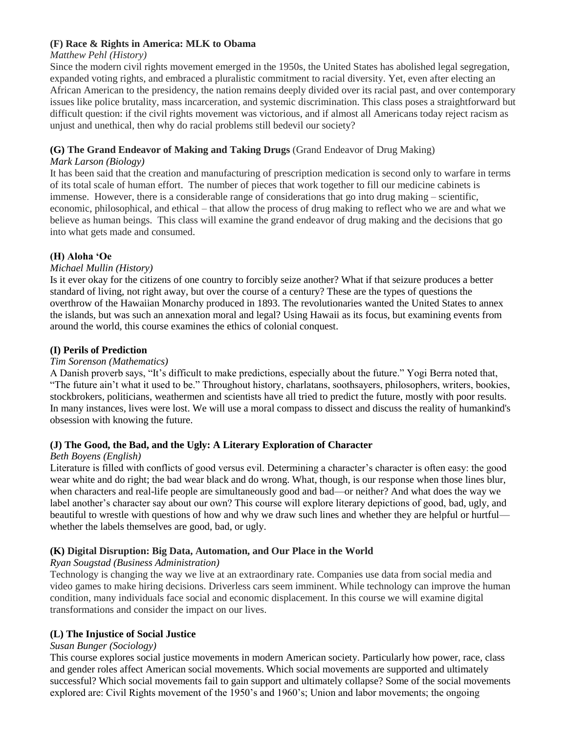### **(F) Race & Rights in America: MLK to Obama**

### *Matthew Pehl (History)*

Since the modern civil rights movement emerged in the 1950s, the United States has abolished legal segregation, expanded voting rights, and embraced a pluralistic commitment to racial diversity. Yet, even after electing an African American to the presidency, the nation remains deeply divided over its racial past, and over contemporary issues like police brutality, mass incarceration, and systemic discrimination. This class poses a straightforward but difficult question: if the civil rights movement was victorious, and if almost all Americans today reject racism as unjust and unethical, then why do racial problems still bedevil our society?

# **(G) The Grand Endeavor of Making and Taking Drugs** (Grand Endeavor of Drug Making)

### *Mark Larson (Biology)*

It has been said that the creation and manufacturing of prescription medication is second only to warfare in terms of its total scale of human effort. The number of pieces that work together to fill our medicine cabinets is immense. However, there is a considerable range of considerations that go into drug making – scientific, economic, philosophical, and ethical – that allow the process of drug making to reflect who we are and what we believe as human beings. This class will examine the grand endeavor of drug making and the decisions that go into what gets made and consumed.

# **(H) Aloha 'Oe**

# *Michael Mullin (History)*

Is it ever okay for the citizens of one country to forcibly seize another? What if that seizure produces a better standard of living, not right away, but over the course of a century? These are the types of questions the overthrow of the Hawaiian Monarchy produced in 1893. The revolutionaries wanted the United States to annex the islands, but was such an annexation moral and legal? Using Hawaii as its focus, but examining events from around the world, this course examines the ethics of colonial conquest.

# **(I) Perils of Prediction**

### *Tim Sorenson (Mathematics)*

A Danish proverb says, "It's difficult to make predictions, especially about the future." Yogi Berra noted that, "The future ain't what it used to be." Throughout history, charlatans, soothsayers, philosophers, writers, bookies, stockbrokers, politicians, weathermen and scientists have all tried to predict the future, mostly with poor results. In many instances, lives were lost. We will use a moral compass to dissect and discuss the reality of humankind's obsession with knowing the future.

# **(J) The Good, the Bad, and the Ugly: A Literary Exploration of Character**

#### *Beth Boyens (English)*

Literature is filled with conflicts of good versus evil. Determining a character's character is often easy: the good wear white and do right; the bad wear black and do wrong. What, though, is our response when those lines blur, when characters and real-life people are simultaneously good and bad—or neither? And what does the way we label another's character say about our own? This course will explore literary depictions of good, bad, ugly, and beautiful to wrestle with questions of how and why we draw such lines and whether they are helpful or hurtful whether the labels themselves are good, bad, or ugly.

# **(K) Digital Disruption: Big Data, Automation, and Our Place in the World**

#### *Ryan Sougstad (Business Administration)*

Technology is changing the way we live at an extraordinary rate. Companies use data from social media and video games to make hiring decisions. Driverless cars seem imminent. While technology can improve the human condition, many individuals face social and economic displacement. In this course we will examine digital transformations and consider the impact on our lives.

# **(L) The Injustice of Social Justice**

#### *Susan Bunger (Sociology)*

This course explores social justice movements in modern American society. Particularly how power, race, class and gender roles affect American social movements. Which social movements are supported and ultimately successful? Which social movements fail to gain support and ultimately collapse? Some of the social movements explored are: Civil Rights movement of the 1950's and 1960's; Union and labor movements; the ongoing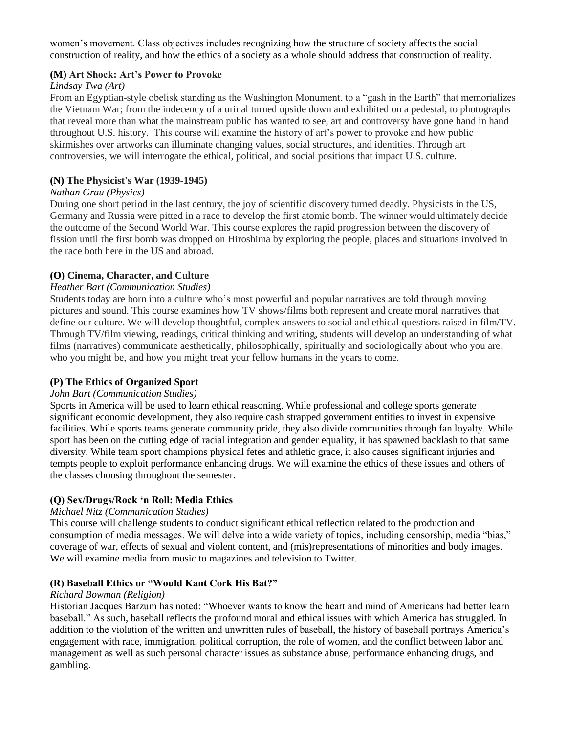women's movement. Class objectives includes recognizing how the structure of society affects the social construction of reality, and how the ethics of a society as a whole should address that construction of reality.

#### **(M) Art Shock: Art's Power to Provoke**

#### *Lindsay Twa (Art)*

From an Egyptian-style obelisk standing as the Washington Monument, to a "gash in the Earth" that memorializes the Vietnam War; from the indecency of a urinal turned upside down and exhibited on a pedestal, to photographs that reveal more than what the mainstream public has wanted to see, art and controversy have gone hand in hand throughout U.S. history. This course will examine the history of art's power to provoke and how public skirmishes over artworks can illuminate changing values, social structures, and identities. Through art controversies, we will interrogate the ethical, political, and social positions that impact U.S. culture.

### **(N) The Physicist's War (1939-1945)**

#### *Nathan Grau (Physics)*

During one short period in the last century, the joy of scientific discovery turned deadly. Physicists in the US, Germany and Russia were pitted in a race to develop the first atomic bomb. The winner would ultimately decide the outcome of the Second World War. This course explores the rapid progression between the discovery of fission until the first bomb was dropped on Hiroshima by exploring the people, places and situations involved in the race both here in the US and abroad.

# **(O) Cinema, Character, and Culture**

#### *Heather Bart (Communication Studies)*

Students today are born into a culture who's most powerful and popular narratives are told through moving pictures and sound. This course examines how TV shows/films both represent and create moral narratives that define our culture. We will develop thoughtful, complex answers to social and ethical questions raised in film/TV. Through TV/film viewing, readings, critical thinking and writing, students will develop an understanding of what films (narratives) communicate aesthetically, philosophically, spiritually and sociologically about who you are, who you might be, and how you might treat your fellow humans in the years to come.

#### **(P) The Ethics of Organized Sport**

#### *John Bart (Communication Studies)*

Sports in America will be used to learn ethical reasoning. While professional and college sports generate significant economic development, they also require cash strapped government entities to invest in expensive facilities. While sports teams generate community pride, they also divide communities through fan loyalty. While sport has been on the cutting edge of racial integration and gender equality, it has spawned backlash to that same diversity. While team sport champions physical fetes and athletic grace, it also causes significant injuries and tempts people to exploit performance enhancing drugs. We will examine the ethics of these issues and others of the classes choosing throughout the semester.

# **(Q) Sex/Drugs/Rock 'n Roll: Media Ethics**

#### *Michael Nitz (Communication Studies)*

This course will challenge students to conduct significant ethical reflection related to the production and consumption of media messages. We will delve into a wide variety of topics, including censorship, media "bias," coverage of war, effects of sexual and violent content, and (mis)representations of minorities and body images. We will examine media from music to magazines and television to Twitter.

#### **(R) Baseball Ethics or "Would Kant Cork His Bat?"**

#### *Richard Bowman (Religion)*

Historian Jacques Barzum has noted: "Whoever wants to know the heart and mind of Americans had better learn baseball." As such, baseball reflects the profound moral and ethical issues with which America has struggled. In addition to the violation of the written and unwritten rules of baseball, the history of baseball portrays America's engagement with race, immigration, political corruption, the role of women, and the conflict between labor and management as well as such personal character issues as substance abuse, performance enhancing drugs, and gambling.